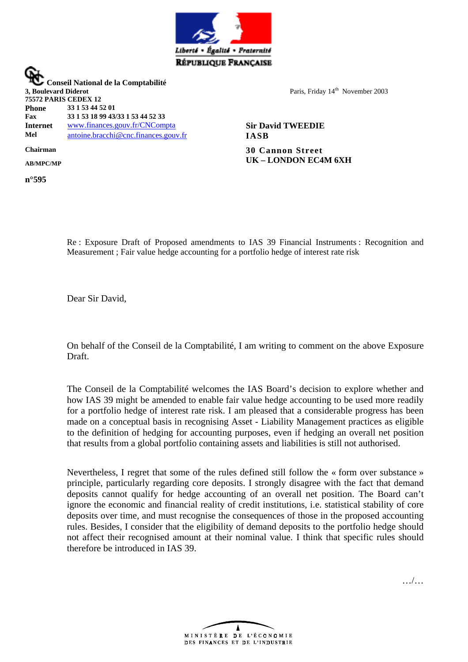

 **Conseil National de la Comptabilité 3, Boulevard Diderot 75572 PARIS CEDEX 12 Phone 33 1 53 44 52 01 Fax 33 1 53 18 99 43/33 1 53 44 52 33 Internet** [www.finances.gouv.fr/CNCompta](http://www.finances.gouv.fr/CNCompta) **Sir David TWEEDIE Mel** [antoine.bracchi@cnc.finances.gouv.fr](mailto:antoine.bacchi@cnc.finances.gouv.fr) **IASB Chairman 30 Cannon Street**

Paris, Friday 14<sup>th</sup> November 2003

**AB/MPC/MP UK – LONDON EC4M 6XH**

Re : Exposure Draft of Proposed amendments to IAS 39 Financial Instruments : Recognition and Measurement ; Fair value hedge accounting for a portfolio hedge of interest rate risk

Dear Sir David,

On behalf of the Conseil de la Comptabilité, I am writing to comment on the above Exposure Draft.

The Conseil de la Comptabilité welcomes the IAS Board's decision to explore whether and how IAS 39 might be amended to enable fair value hedge accounting to be used more readily for a portfolio hedge of interest rate risk. I am pleased that a considerable progress has been made on a conceptual basis in recognising Asset - Liability Management practices as eligible to the definition of hedging for accounting purposes, even if hedging an overall net position that results from a global portfolio containing assets and liabilities is still not authorised.

Nevertheless, I regret that some of the rules defined still follow the « form over substance » principle, particularly regarding core deposits. I strongly disagree with the fact that demand deposits cannot qualify for hedge accounting of an overall net position. The Board can't ignore the economic and financial reality of credit institutions, i.e. statistical stability of core deposits over time, and must recognise the consequences of those in the proposed accounting rules. Besides, I consider that the eligibility of demand deposits to the portfolio hedge should not affect their recognised amount at their nominal value. I think that specific rules should therefore be introduced in IAS 39.





**n°595**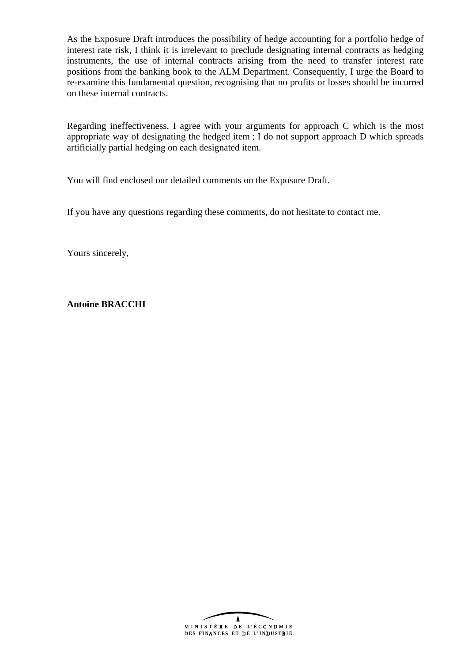As the Exposure Draft introduces the possibility of hedge accounting for a portfolio hedge of interest rate risk, I think it is irrelevant to preclude designating internal contracts as hedging instruments, the use of internal contracts arising from the need to transfer interest rate positions from the banking book to the ALM Department. Consequently, I urge the Board to re-examine this fundamental question, recognising that no profits or losses should be incurred on these internal contracts.

Regarding ineffectiveness, I agree with your arguments for approach C which is the most appropriate way of designating the hedged item ; I do not support approach D which spreads artificially partial hedging on each designated item.

You will find enclosed our detailed comments on the Exposure Draft.

If you have any questions regarding these comments, do not hesitate to contact me.

Yours sincerely,

**Antoine BRACCHI**

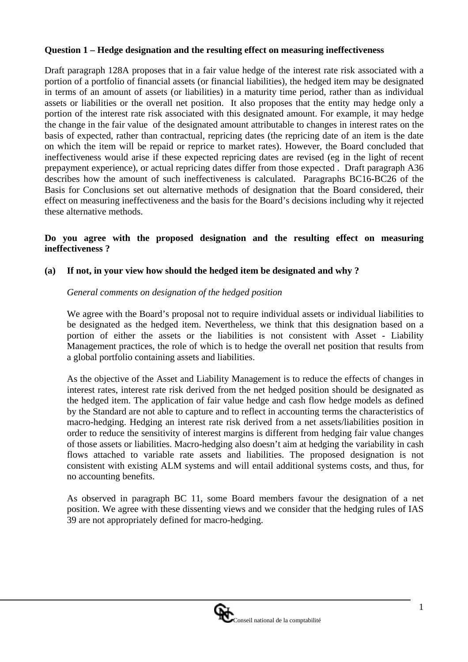## **Question 1 – Hedge designation and the resulting effect on measuring ineffectiveness**

Draft paragraph 128A proposes that in a fair value hedge of the interest rate risk associated with a portion of a portfolio of financial assets (or financial liabilities), the hedged item may be designated in terms of an amount of assets (or liabilities) in a maturity time period, rather than as individual assets or liabilities or the overall net position. It also proposes that the entity may hedge only a portion of the interest rate risk associated with this designated amount. For example, it may hedge the change in the fair value of the designated amount attributable to changes in interest rates on the basis of expected, rather than contractual, repricing dates (the repricing date of an item is the date on which the item will be repaid or reprice to market rates). However, the Board concluded that ineffectiveness would arise if these expected repricing dates are revised (eg in the light of recent prepayment experience), or actual repricing dates differ from those expected . Draft paragraph A36 describes how the amount of such ineffectiveness is calculated. Paragraphs BC16-BC26 of the Basis for Conclusions set out alternative methods of designation that the Board considered, their effect on measuring ineffectiveness and the basis for the Board's decisions including why it rejected these alternative methods.

## **Do you agree with the proposed designation and the resulting effect on measuring ineffectiveness ?**

## **(a) If not, in your view how should the hedged item be designated and why ?**

## *General comments on designation of the hedged position*

We agree with the Board's proposal not to require individual assets or individual liabilities to be designated as the hedged item. Nevertheless, we think that this designation based on a portion of either the assets or the liabilities is not consistent with Asset - Liability Management practices, the role of which is to hedge the overall net position that results from a global portfolio containing assets and liabilities.

As the objective of the Asset and Liability Management is to reduce the effects of changes in interest rates, interest rate risk derived from the net hedged position should be designated as the hedged item. The application of fair value hedge and cash flow hedge models as defined by the Standard are not able to capture and to reflect in accounting terms the characteristics of macro-hedging. Hedging an interest rate risk derived from a net assets/liabilities position in order to reduce the sensitivity of interest margins is different from hedging fair value changes of those assets or liabilities. Macro-hedging also doesn't aim at hedging the variability in cash flows attached to variable rate assets and liabilities. The proposed designation is not consistent with existing ALM systems and will entail additional systems costs, and thus, for no accounting benefits.

As observed in paragraph BC 11, some Board members favour the designation of a net position. We agree with these dissenting views and we consider that the hedging rules of IAS 39 are not appropriately defined for macro-hedging.

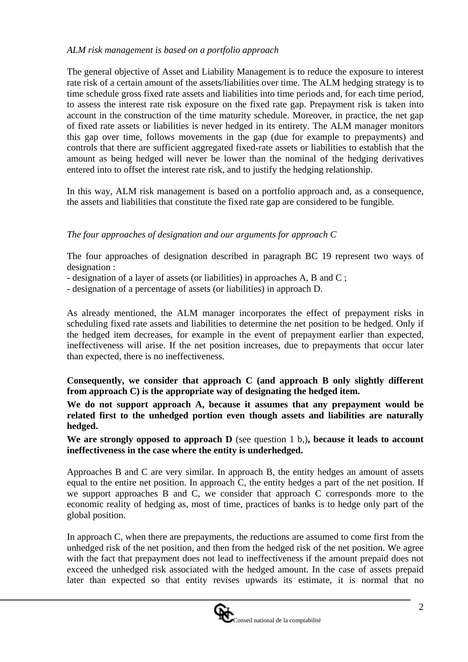## *ALM risk management is based on a portfolio approach*

The general objective of Asset and Liability Management is to reduce the exposure to interest rate risk of a certain amount of the assets/liabilities over time. The ALM hedging strategy is to time schedule gross fixed rate assets and liabilities into time periods and, for each time period, to assess the interest rate risk exposure on the fixed rate gap. Prepayment risk is taken into account in the construction of the time maturity schedule. Moreover, in practice, the net gap of fixed rate assets or liabilities is never hedged in its entirety. The ALM manager monitors this gap over time, follows movements in the gap (due for example to prepayments) and controls that there are sufficient aggregated fixed-rate assets or liabilities to establish that the amount as being hedged will never be lower than the nominal of the hedging derivatives entered into to offset the interest rate risk, and to justify the hedging relationship.

In this way, ALM risk management is based on a portfolio approach and, as a consequence, the assets and liabilities that constitute the fixed rate gap are considered to be fungible.

# *The four approaches of designation and our arguments for approach C*

The four approaches of designation described in paragraph BC 19 represent two ways of designation :

- designation of a layer of assets (or liabilities) in approaches A, B and C ;

- designation of a percentage of assets (or liabilities) in approach D.

As already mentioned, the ALM manager incorporates the effect of prepayment risks in scheduling fixed rate assets and liabilities to determine the net position to be hedged. Only if the hedged item decreases, for example in the event of prepayment earlier than expected, ineffectiveness will arise. If the net position increases, due to prepayments that occur later than expected, there is no ineffectiveness.

**Consequently, we consider that approach C (and approach B only slightly different from approach C) is the appropriate way of designating the hedged item.** 

**We do not support approach A, because it assumes that any prepayment would be related first to the unhedged portion even though assets and liabilities are naturally hedged.** 

**We are strongly opposed to approach D** (see question 1 b,)**, because it leads to account ineffectiveness in the case where the entity is underhedged.**

Approaches B and C are very similar. In approach B, the entity hedges an amount of assets equal to the entire net position. In approach C, the entity hedges a part of the net position. If we support approaches B and C, we consider that approach C corresponds more to the economic reality of hedging as, most of time, practices of banks is to hedge only part of the global position.

In approach C, when there are prepayments, the reductions are assumed to come first from the unhedged risk of the net position, and then from the hedged risk of the net position. We agree with the fact that prepayment does not lead to ineffectiveness if the amount prepaid does not exceed the unhedged risk associated with the hedged amount. In the case of assets prepaid later than expected so that entity revises upwards its estimate, it is normal that no

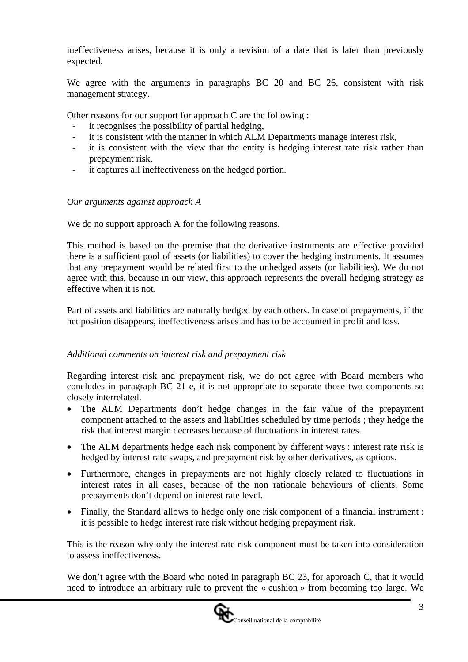ineffectiveness arises, because it is only a revision of a date that is later than previously expected.

We agree with the arguments in paragraphs BC 20 and BC 26, consistent with risk management strategy.

Other reasons for our support for approach C are the following :

- it recognises the possibility of partial hedging,
- it is consistent with the manner in which ALM Departments manage interest risk,
- it is consistent with the view that the entity is hedging interest rate risk rather than prepayment risk,
- it captures all ineffectiveness on the hedged portion.

## *Our arguments against approach A*

We do no support approach A for the following reasons.

This method is based on the premise that the derivative instruments are effective provided there is a sufficient pool of assets (or liabilities) to cover the hedging instruments. It assumes that any prepayment would be related first to the unhedged assets (or liabilities). We do not agree with this, because in our view, this approach represents the overall hedging strategy as effective when it is not.

Part of assets and liabilities are naturally hedged by each others. In case of prepayments, if the net position disappears, ineffectiveness arises and has to be accounted in profit and loss.

#### *Additional comments on interest risk and prepayment risk*

Regarding interest risk and prepayment risk, we do not agree with Board members who concludes in paragraph BC 21 e, it is not appropriate to separate those two components so closely interrelated.

- The ALM Departments don't hedge changes in the fair value of the prepayment component attached to the assets and liabilities scheduled by time periods ; they hedge the risk that interest margin decreases because of fluctuations in interest rates.
- The ALM departments hedge each risk component by different ways : interest rate risk is hedged by interest rate swaps, and prepayment risk by other derivatives, as options.
- Furthermore, changes in prepayments are not highly closely related to fluctuations in interest rates in all cases, because of the non rationale behaviours of clients. Some prepayments don't depend on interest rate level.
- Finally, the Standard allows to hedge only one risk component of a financial instrument : it is possible to hedge interest rate risk without hedging prepayment risk.

This is the reason why only the interest rate risk component must be taken into consideration to assess ineffectiveness.

We don't agree with the Board who noted in paragraph BC 23, for approach C, that it would need to introduce an arbitrary rule to prevent the « cushion » from becoming too large. We

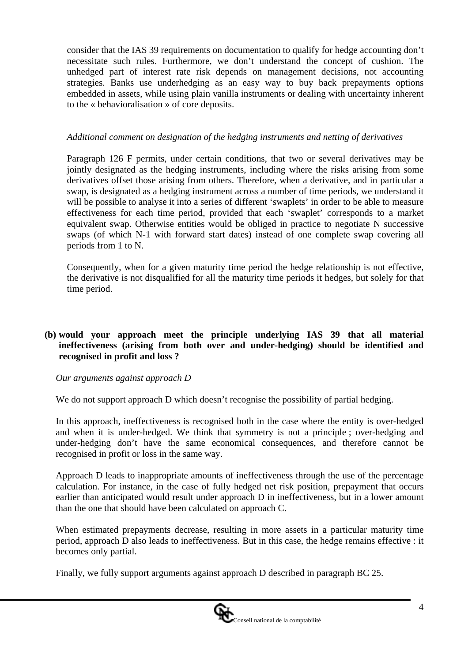consider that the IAS 39 requirements on documentation to qualify for hedge accounting don't necessitate such rules. Furthermore, we don't understand the concept of cushion. The unhedged part of interest rate risk depends on management decisions, not accounting strategies. Banks use underhedging as an easy way to buy back prepayments options embedded in assets, while using plain vanilla instruments or dealing with uncertainty inherent to the « behavioralisation » of core deposits.

## *Additional comment on designation of the hedging instruments and netting of derivatives*

Paragraph 126 F permits, under certain conditions, that two or several derivatives may be jointly designated as the hedging instruments, including where the risks arising from some derivatives offset those arising from others. Therefore, when a derivative, and in particular a swap, is designated as a hedging instrument across a number of time periods, we understand it will be possible to analyse it into a series of different 'swaplets' in order to be able to measure effectiveness for each time period, provided that each 'swaplet' corresponds to a market equivalent swap. Otherwise entities would be obliged in practice to negotiate N successive swaps (of which N-1 with forward start dates) instead of one complete swap covering all periods from 1 to N.

Consequently, when for a given maturity time period the hedge relationship is not effective, the derivative is not disqualified for all the maturity time periods it hedges, but solely for that time period.

## **(b) would your approach meet the principle underlying IAS 39 that all material ineffectiveness (arising from both over and under-hedging) should be identified and recognised in profit and loss ?**

#### *Our arguments against approach D*

We do not support approach D which doesn't recognise the possibility of partial hedging.

In this approach, ineffectiveness is recognised both in the case where the entity is over-hedged and when it is under-hedged. We think that symmetry is not a principle ; over-hedging and under-hedging don't have the same economical consequences, and therefore cannot be recognised in profit or loss in the same way.

Approach D leads to inappropriate amounts of ineffectiveness through the use of the percentage calculation. For instance, in the case of fully hedged net risk position, prepayment that occurs earlier than anticipated would result under approach D in ineffectiveness, but in a lower amount than the one that should have been calculated on approach C.

When estimated prepayments decrease, resulting in more assets in a particular maturity time period, approach D also leads to ineffectiveness. But in this case, the hedge remains effective : it becomes only partial.

Finally, we fully support arguments against approach D described in paragraph BC 25.

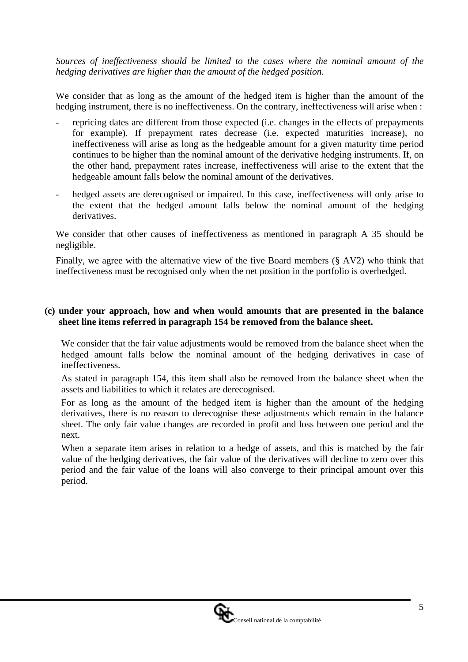*Sources of ineffectiveness should be limited to the cases where the nominal amount of the hedging derivatives are higher than the amount of the hedged position.*

We consider that as long as the amount of the hedged item is higher than the amount of the hedging instrument, there is no ineffectiveness. On the contrary, ineffectiveness will arise when :

- repricing dates are different from those expected (i.e. changes in the effects of prepayments for example). If prepayment rates decrease (i.e. expected maturities increase), no ineffectiveness will arise as long as the hedgeable amount for a given maturity time period continues to be higher than the nominal amount of the derivative hedging instruments. If, on the other hand, prepayment rates increase, ineffectiveness will arise to the extent that the hedgeable amount falls below the nominal amount of the derivatives.
- hedged assets are derecognised or impaired. In this case, ineffectiveness will only arise to the extent that the hedged amount falls below the nominal amount of the hedging derivatives.

We consider that other causes of ineffectiveness as mentioned in paragraph A 35 should be negligible.

Finally, we agree with the alternative view of the five Board members (§ AV2) who think that ineffectiveness must be recognised only when the net position in the portfolio is overhedged.

## **(c) under your approach, how and when would amounts that are presented in the balance sheet line items referred in paragraph 154 be removed from the balance sheet.**

We consider that the fair value adjustments would be removed from the balance sheet when the hedged amount falls below the nominal amount of the hedging derivatives in case of ineffectiveness.

As stated in paragraph 154, this item shall also be removed from the balance sheet when the assets and liabilities to which it relates are derecognised.

For as long as the amount of the hedged item is higher than the amount of the hedging derivatives, there is no reason to derecognise these adjustments which remain in the balance sheet. The only fair value changes are recorded in profit and loss between one period and the next.

When a separate item arises in relation to a hedge of assets, and this is matched by the fair value of the hedging derivatives, the fair value of the derivatives will decline to zero over this period and the fair value of the loans will also converge to their principal amount over this period.

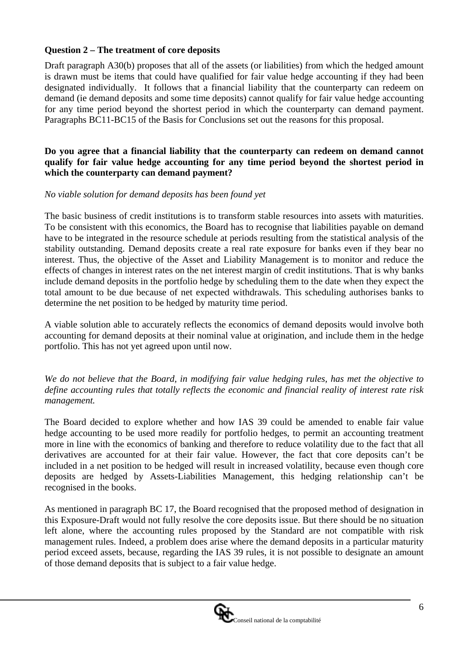## **Question 2 – The treatment of core deposits**

Draft paragraph A30(b) proposes that all of the assets (or liabilities) from which the hedged amount is drawn must be items that could have qualified for fair value hedge accounting if they had been designated individually. It follows that a financial liability that the counterparty can redeem on demand (ie demand deposits and some time deposits) cannot qualify for fair value hedge accounting for any time period beyond the shortest period in which the counterparty can demand payment. Paragraphs BC11-BC15 of the Basis for Conclusions set out the reasons for this proposal.

#### **Do you agree that a financial liability that the counterparty can redeem on demand cannot qualify for fair value hedge accounting for any time period beyond the shortest period in which the counterparty can demand payment?**

#### *No viable solution for demand deposits has been found yet*

The basic business of credit institutions is to transform stable resources into assets with maturities. To be consistent with this economics, the Board has to recognise that liabilities payable on demand have to be integrated in the resource schedule at periods resulting from the statistical analysis of the stability outstanding. Demand deposits create a real rate exposure for banks even if they bear no interest. Thus, the objective of the Asset and Liability Management is to monitor and reduce the effects of changes in interest rates on the net interest margin of credit institutions. That is why banks include demand deposits in the portfolio hedge by scheduling them to the date when they expect the total amount to be due because of net expected withdrawals. This scheduling authorises banks to determine the net position to be hedged by maturity time period.

A viable solution able to accurately reflects the economics of demand deposits would involve both accounting for demand deposits at their nominal value at origination, and include them in the hedge portfolio. This has not yet agreed upon until now.

*We do not believe that the Board, in modifying fair value hedging rules, has met the objective to define accounting rules that totally reflects the economic and financial reality of interest rate risk management.* 

The Board decided to explore whether and how IAS 39 could be amended to enable fair value hedge accounting to be used more readily for portfolio hedges, to permit an accounting treatment more in line with the economics of banking and therefore to reduce volatility due to the fact that all derivatives are accounted for at their fair value. However, the fact that core deposits can't be included in a net position to be hedged will result in increased volatility, because even though core deposits are hedged by Assets-Liabilities Management, this hedging relationship can't be recognised in the books.

As mentioned in paragraph BC 17, the Board recognised that the proposed method of designation in this Exposure-Draft would not fully resolve the core deposits issue. But there should be no situation left alone, where the accounting rules proposed by the Standard are not compatible with risk management rules. Indeed, a problem does arise where the demand deposits in a particular maturity period exceed assets, because, regarding the IAS 39 rules, it is not possible to designate an amount of those demand deposits that is subject to a fair value hedge.

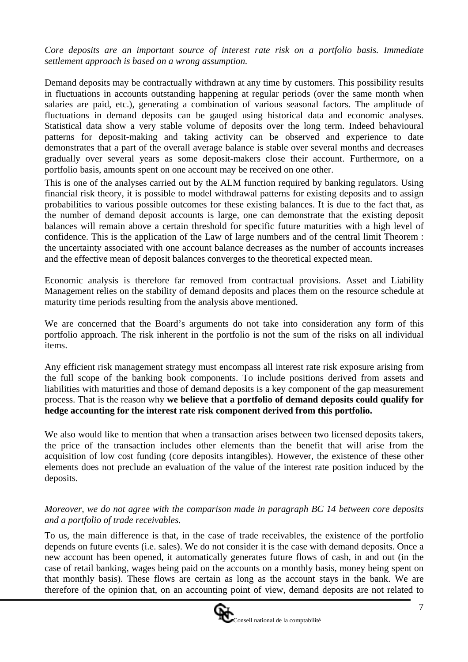*Core deposits are an important source of interest rate risk on a portfolio basis. Immediate settlement approach is based on a wrong assumption.*

Demand deposits may be contractually withdrawn at any time by customers. This possibility results in fluctuations in accounts outstanding happening at regular periods (over the same month when salaries are paid, etc.), generating a combination of various seasonal factors. The amplitude of fluctuations in demand deposits can be gauged using historical data and economic analyses. Statistical data show a very stable volume of deposits over the long term. Indeed behavioural patterns for deposit-making and taking activity can be observed and experience to date demonstrates that a part of the overall average balance is stable over several months and decreases gradually over several years as some deposit-makers close their account. Furthermore, on a portfolio basis, amounts spent on one account may be received on one other.

This is one of the analyses carried out by the ALM function required by banking regulators. Using financial risk theory, it is possible to model withdrawal patterns for existing deposits and to assign probabilities to various possible outcomes for these existing balances. It is due to the fact that, as the number of demand deposit accounts is large, one can demonstrate that the existing deposit balances will remain above a certain threshold for specific future maturities with a high level of confidence. This is the application of the Law of large numbers and of the central limit Theorem : the uncertainty associated with one account balance decreases as the number of accounts increases and the effective mean of deposit balances converges to the theoretical expected mean.

Economic analysis is therefore far removed from contractual provisions. Asset and Liability Management relies on the stability of demand deposits and places them on the resource schedule at maturity time periods resulting from the analysis above mentioned.

We are concerned that the Board's arguments do not take into consideration any form of this portfolio approach. The risk inherent in the portfolio is not the sum of the risks on all individual items.

Any efficient risk management strategy must encompass all interest rate risk exposure arising from the full scope of the banking book components. To include positions derived from assets and liabilities with maturities and those of demand deposits is a key component of the gap measurement process. That is the reason why **we believe that a portfolio of demand deposits could qualify for hedge accounting for the interest rate risk component derived from this portfolio.**

We also would like to mention that when a transaction arises between two licensed deposits takers, the price of the transaction includes other elements than the benefit that will arise from the acquisition of low cost funding (core deposits intangibles). However, the existence of these other elements does not preclude an evaluation of the value of the interest rate position induced by the deposits.

#### *Moreover, we do not agree with the comparison made in paragraph BC 14 between core deposits and a portfolio of trade receivables.*

To us, the main difference is that, in the case of trade receivables, the existence of the portfolio depends on future events (i.e. sales). We do not consider it is the case with demand deposits. Once a new account has been opened, it automatically generates future flows of cash, in and out (in the case of retail banking, wages being paid on the accounts on a monthly basis, money being spent on that monthly basis). These flows are certain as long as the account stays in the bank. We are therefore of the opinion that, on an accounting point of view, demand deposits are not related to

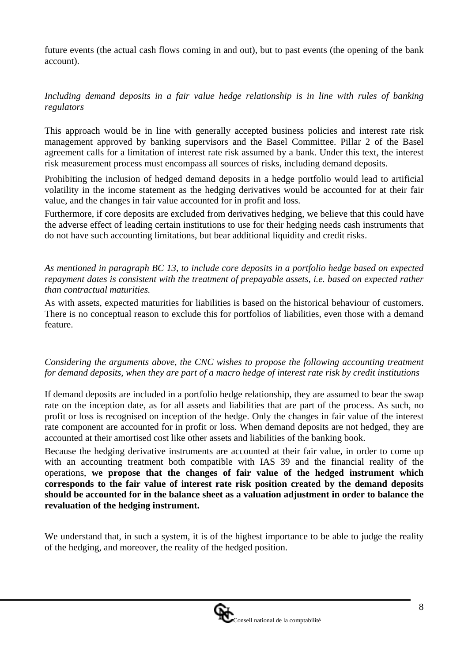future events (the actual cash flows coming in and out), but to past events (the opening of the bank account).

*Including demand deposits in a fair value hedge relationship is in line with rules of banking regulators*

This approach would be in line with generally accepted business policies and interest rate risk management approved by banking supervisors and the Basel Committee. Pillar 2 of the Basel agreement calls for a limitation of interest rate risk assumed by a bank. Under this text, the interest risk measurement process must encompass all sources of risks, including demand deposits.

Prohibiting the inclusion of hedged demand deposits in a hedge portfolio would lead to artificial volatility in the income statement as the hedging derivatives would be accounted for at their fair value, and the changes in fair value accounted for in profit and loss.

Furthermore, if core deposits are excluded from derivatives hedging, we believe that this could have the adverse effect of leading certain institutions to use for their hedging needs cash instruments that do not have such accounting limitations, but bear additional liquidity and credit risks.

*As mentioned in paragraph BC 13, to include core deposits in a portfolio hedge based on expected repayment dates is consistent with the treatment of prepayable assets, i.e. based on expected rather than contractual maturities.* 

As with assets, expected maturities for liabilities is based on the historical behaviour of customers. There is no conceptual reason to exclude this for portfolios of liabilities, even those with a demand feature.

*Considering the arguments above, the CNC wishes to propose the following accounting treatment for demand deposits, when they are part of a macro hedge of interest rate risk by credit institutions*

If demand deposits are included in a portfolio hedge relationship, they are assumed to bear the swap rate on the inception date, as for all assets and liabilities that are part of the process. As such, no profit or loss is recognised on inception of the hedge. Only the changes in fair value of the interest rate component are accounted for in profit or loss. When demand deposits are not hedged, they are accounted at their amortised cost like other assets and liabilities of the banking book.

Because the hedging derivative instruments are accounted at their fair value, in order to come up with an accounting treatment both compatible with IAS 39 and the financial reality of the operations, **we propose that the changes of fair value of the hedged instrument which corresponds to the fair value of interest rate risk position created by the demand deposits should be accounted for in the balance sheet as a valuation adjustment in order to balance the revaluation of the hedging instrument.**

We understand that, in such a system, it is of the highest importance to be able to judge the reality of the hedging, and moreover, the reality of the hedged position.

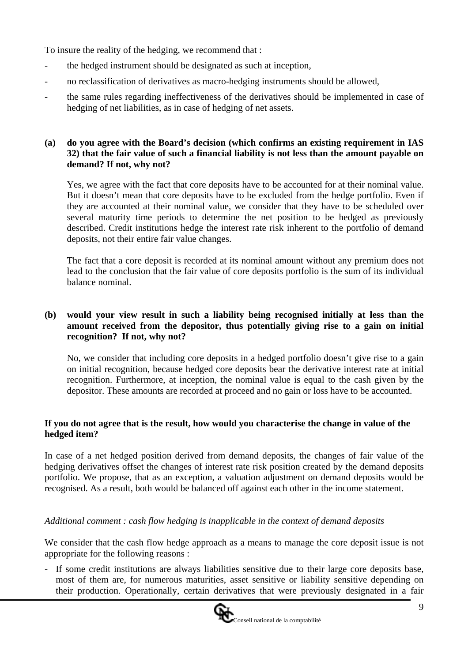To insure the reality of the hedging, we recommend that :

- the hedged instrument should be designated as such at inception,
- no reclassification of derivatives as macro-hedging instruments should be allowed,
- the same rules regarding ineffectiveness of the derivatives should be implemented in case of hedging of net liabilities, as in case of hedging of net assets.

## **(a) do you agree with the Board's decision (which confirms an existing requirement in IAS 32) that the fair value of such a financial liability is not less than the amount payable on demand? If not, why not?**

Yes, we agree with the fact that core deposits have to be accounted for at their nominal value. But it doesn't mean that core deposits have to be excluded from the hedge portfolio. Even if they are accounted at their nominal value, we consider that they have to be scheduled over several maturity time periods to determine the net position to be hedged as previously described. Credit institutions hedge the interest rate risk inherent to the portfolio of demand deposits, not their entire fair value changes.

The fact that a core deposit is recorded at its nominal amount without any premium does not lead to the conclusion that the fair value of core deposits portfolio is the sum of its individual balance nominal.

## **(b) would your view result in such a liability being recognised initially at less than the amount received from the depositor, thus potentially giving rise to a gain on initial recognition? If not, why not?**

No, we consider that including core deposits in a hedged portfolio doesn't give rise to a gain on initial recognition, because hedged core deposits bear the derivative interest rate at initial recognition. Furthermore, at inception, the nominal value is equal to the cash given by the depositor. These amounts are recorded at proceed and no gain or loss have to be accounted.

## **If you do not agree that is the result, how would you characterise the change in value of the hedged item?**

In case of a net hedged position derived from demand deposits, the changes of fair value of the hedging derivatives offset the changes of interest rate risk position created by the demand deposits portfolio. We propose, that as an exception, a valuation adjustment on demand deposits would be recognised. As a result, both would be balanced off against each other in the income statement.

# *Additional comment : cash flow hedging is inapplicable in the context of demand deposits*

We consider that the cash flow hedge approach as a means to manage the core deposit issue is not appropriate for the following reasons :

- If some credit institutions are always liabilities sensitive due to their large core deposits base, most of them are, for numerous maturities, asset sensitive or liability sensitive depending on their production. Operationally, certain derivatives that were previously designated in a fair